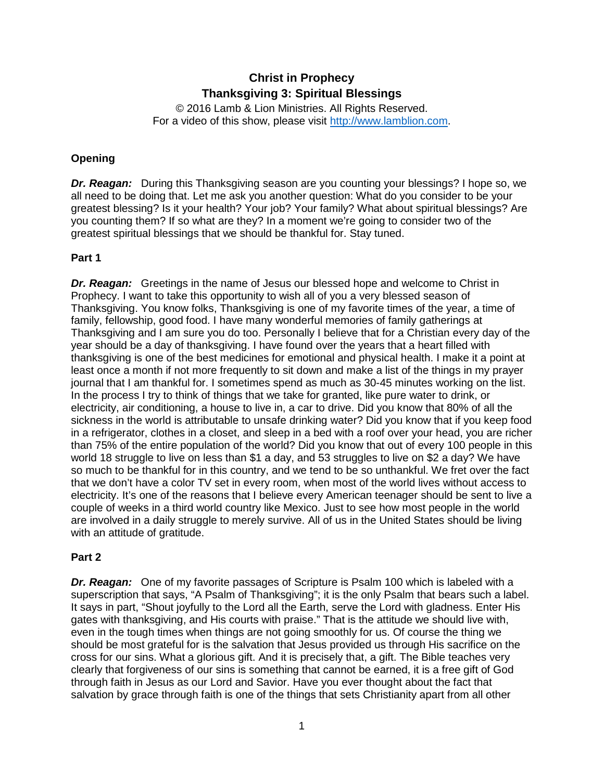# **Christ in Prophecy Thanksgiving 3: Spiritual Blessings**

© 2016 Lamb & Lion Ministries. All Rights Reserved. For a video of this show, please visit [http://www.lamblion.com.](http://www.lamblion.com/)

# **Opening**

*Dr. Reagan:* During this Thanksgiving season are you counting your blessings? I hope so, we all need to be doing that. Let me ask you another question: What do you consider to be your greatest blessing? Is it your health? Your job? Your family? What about spiritual blessings? Are you counting them? If so what are they? In a moment we're going to consider two of the greatest spiritual blessings that we should be thankful for. Stay tuned.

# **Part 1**

*Dr. Reagan:* Greetings in the name of Jesus our blessed hope and welcome to Christ in Prophecy. I want to take this opportunity to wish all of you a very blessed season of Thanksgiving. You know folks, Thanksgiving is one of my favorite times of the year, a time of family, fellowship, good food. I have many wonderful memories of family gatherings at Thanksgiving and I am sure you do too. Personally I believe that for a Christian every day of the year should be a day of thanksgiving. I have found over the years that a heart filled with thanksgiving is one of the best medicines for emotional and physical health. I make it a point at least once a month if not more frequently to sit down and make a list of the things in my prayer journal that I am thankful for. I sometimes spend as much as 30-45 minutes working on the list. In the process I try to think of things that we take for granted, like pure water to drink, or electricity, air conditioning, a house to live in, a car to drive. Did you know that 80% of all the sickness in the world is attributable to unsafe drinking water? Did you know that if you keep food in a refrigerator, clothes in a closet, and sleep in a bed with a roof over your head, you are richer than 75% of the entire population of the world? Did you know that out of every 100 people in this world 18 struggle to live on less than \$1 a day, and 53 struggles to live on \$2 a day? We have so much to be thankful for in this country, and we tend to be so unthankful. We fret over the fact that we don't have a color TV set in every room, when most of the world lives without access to electricity. It's one of the reasons that I believe every American teenager should be sent to live a couple of weeks in a third world country like Mexico. Just to see how most people in the world are involved in a daily struggle to merely survive. All of us in the United States should be living with an attitude of gratitude.

# **Part 2**

*Dr. Reagan:* One of my favorite passages of Scripture is Psalm 100 which is labeled with a superscription that says, "A Psalm of Thanksgiving"; it is the only Psalm that bears such a label. It says in part, "Shout joyfully to the Lord all the Earth, serve the Lord with gladness. Enter His gates with thanksgiving, and His courts with praise." That is the attitude we should live with, even in the tough times when things are not going smoothly for us. Of course the thing we should be most grateful for is the salvation that Jesus provided us through His sacrifice on the cross for our sins. What a glorious gift. And it is precisely that, a gift. The Bible teaches very clearly that forgiveness of our sins is something that cannot be earned, it is a free gift of God through faith in Jesus as our Lord and Savior. Have you ever thought about the fact that salvation by grace through faith is one of the things that sets Christianity apart from all other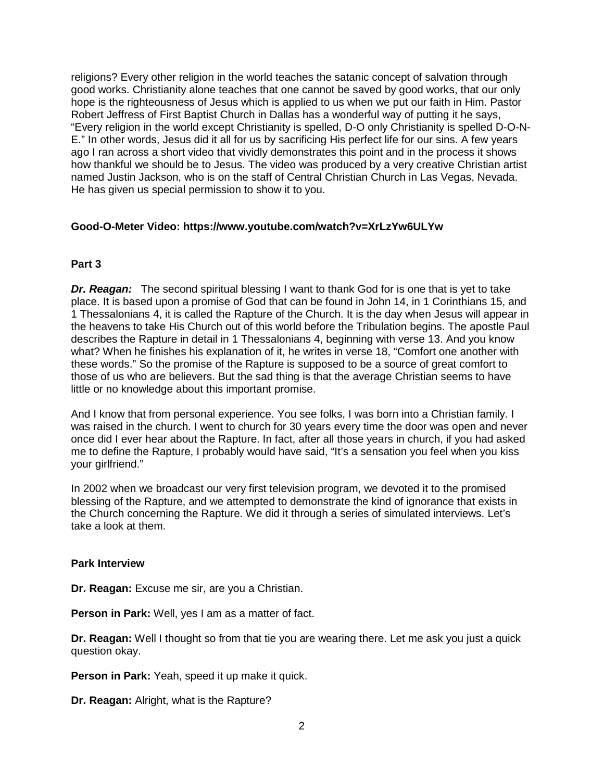religions? Every other religion in the world teaches the satanic concept of salvation through good works. Christianity alone teaches that one cannot be saved by good works, that our only hope is the righteousness of Jesus which is applied to us when we put our faith in Him. Pastor Robert Jeffress of First Baptist Church in Dallas has a wonderful way of putting it he says, "Every religion in the world except Christianity is spelled, D-O only Christianity is spelled D-O-N-E." In other words, Jesus did it all for us by sacrificing His perfect life for our sins. A few years ago I ran across a short video that vividly demonstrates this point and in the process it shows how thankful we should be to Jesus. The video was produced by a very creative Christian artist named Justin Jackson, who is on the staff of Central Christian Church in Las Vegas, Nevada. He has given us special permission to show it to you.

# **Good-O-Meter Video: https://www.youtube.com/watch?v=XrLzYw6ULYw**

# **Part 3**

*Dr. Reagan:* The second spiritual blessing I want to thank God for is one that is yet to take place. It is based upon a promise of God that can be found in John 14, in 1 Corinthians 15, and 1 Thessalonians 4, it is called the Rapture of the Church. It is the day when Jesus will appear in the heavens to take His Church out of this world before the Tribulation begins. The apostle Paul describes the Rapture in detail in 1 Thessalonians 4, beginning with verse 13. And you know what? When he finishes his explanation of it, he writes in verse 18, "Comfort one another with these words." So the promise of the Rapture is supposed to be a source of great comfort to those of us who are believers. But the sad thing is that the average Christian seems to have little or no knowledge about this important promise.

And I know that from personal experience. You see folks, I was born into a Christian family. I was raised in the church. I went to church for 30 years every time the door was open and never once did I ever hear about the Rapture. In fact, after all those years in church, if you had asked me to define the Rapture, I probably would have said, "It's a sensation you feel when you kiss your girlfriend."

In 2002 when we broadcast our very first television program, we devoted it to the promised blessing of the Rapture, and we attempted to demonstrate the kind of ignorance that exists in the Church concerning the Rapture. We did it through a series of simulated interviews. Let's take a look at them.

#### **Park Interview**

**Dr. Reagan:** Excuse me sir, are you a Christian.

**Person in Park:** Well, yes I am as a matter of fact.

**Dr. Reagan:** Well I thought so from that tie you are wearing there. Let me ask you just a quick question okay.

**Person in Park:** Yeah, speed it up make it quick.

**Dr. Reagan:** Alright, what is the Rapture?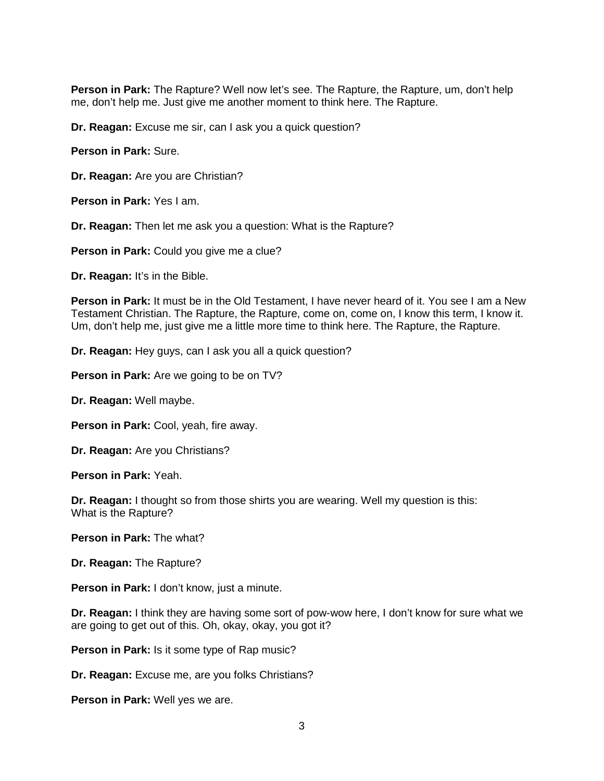**Person in Park:** The Rapture? Well now let's see. The Rapture, the Rapture, um, don't help me, don't help me. Just give me another moment to think here. The Rapture.

**Dr. Reagan:** Excuse me sir, can I ask you a quick question?

**Person in Park:** Sure.

**Dr. Reagan:** Are you are Christian?

**Person in Park:** Yes I am.

**Dr. Reagan:** Then let me ask you a question: What is the Rapture?

**Person in Park:** Could you give me a clue?

**Dr. Reagan:** It's in the Bible.

**Person in Park:** It must be in the Old Testament, I have never heard of it. You see I am a New Testament Christian. The Rapture, the Rapture, come on, come on, I know this term, I know it. Um, don't help me, just give me a little more time to think here. The Rapture, the Rapture.

**Dr. Reagan:** Hey guys, can I ask you all a quick question?

**Person in Park:** Are we going to be on TV?

**Dr. Reagan:** Well maybe.

**Person in Park:** Cool, yeah, fire away.

**Dr. Reagan:** Are you Christians?

**Person in Park:** Yeah.

**Dr. Reagan:** I thought so from those shirts you are wearing. Well my question is this: What is the Rapture?

**Person in Park:** The what?

**Dr. Reagan:** The Rapture?

**Person in Park:** I don't know, just a minute.

**Dr. Reagan:** I think they are having some sort of pow-wow here, I don't know for sure what we are going to get out of this. Oh, okay, okay, you got it?

**Person in Park:** Is it some type of Rap music?

**Dr. Reagan:** Excuse me, are you folks Christians?

**Person in Park:** Well yes we are.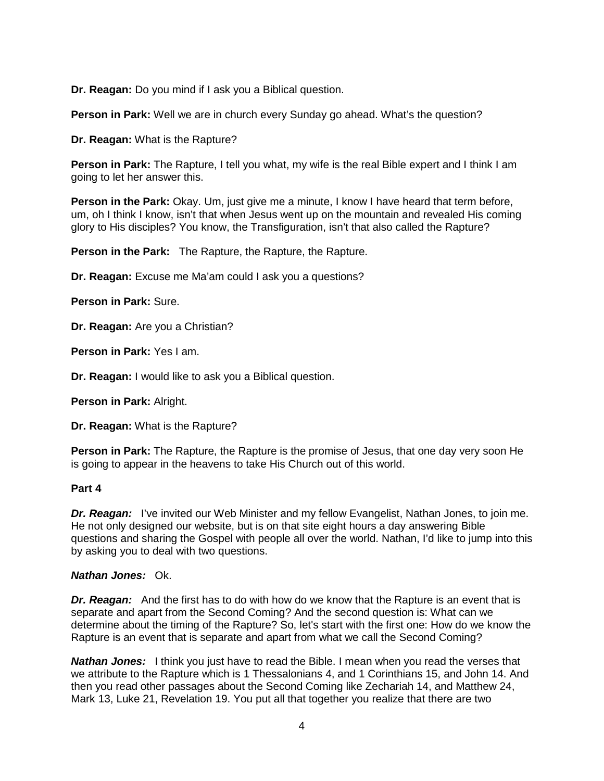**Dr. Reagan:** Do you mind if I ask you a Biblical question.

**Person in Park:** Well we are in church every Sunday go ahead. What's the question?

**Dr. Reagan:** What is the Rapture?

**Person in Park:** The Rapture, I tell you what, my wife is the real Bible expert and I think I am going to let her answer this.

**Person in the Park:** Okay. Um, just give me a minute, I know I have heard that term before, um, oh I think I know, isn't that when Jesus went up on the mountain and revealed His coming glory to His disciples? You know, the Transfiguration, isn't that also called the Rapture?

**Person in the Park:** The Rapture, the Rapture, the Rapture.

**Dr. Reagan:** Excuse me Ma'am could I ask you a questions?

**Person in Park:** Sure.

**Dr. Reagan:** Are you a Christian?

**Person in Park:** Yes I am.

**Dr. Reagan:** I would like to ask you a Biblical question.

**Person in Park:** Alright.

**Dr. Reagan:** What is the Rapture?

**Person in Park:** The Rapture, the Rapture is the promise of Jesus, that one day very soon He is going to appear in the heavens to take His Church out of this world.

#### **Part 4**

*Dr. Reagan:* I've invited our Web Minister and my fellow Evangelist, Nathan Jones, to join me. He not only designed our website, but is on that site eight hours a day answering Bible questions and sharing the Gospel with people all over the world. Nathan, I'd like to jump into this by asking you to deal with two questions.

#### *Nathan Jones:* Ok.

*Dr. Reagan:* And the first has to do with how do we know that the Rapture is an event that is separate and apart from the Second Coming? And the second question is: What can we determine about the timing of the Rapture? So, let's start with the first one: How do we know the Rapture is an event that is separate and apart from what we call the Second Coming?

*Nathan Jones:* I think you just have to read the Bible. I mean when you read the verses that we attribute to the Rapture which is 1 Thessalonians 4, and 1 Corinthians 15, and John 14. And then you read other passages about the Second Coming like Zechariah 14, and Matthew 24, Mark 13, Luke 21, Revelation 19. You put all that together you realize that there are two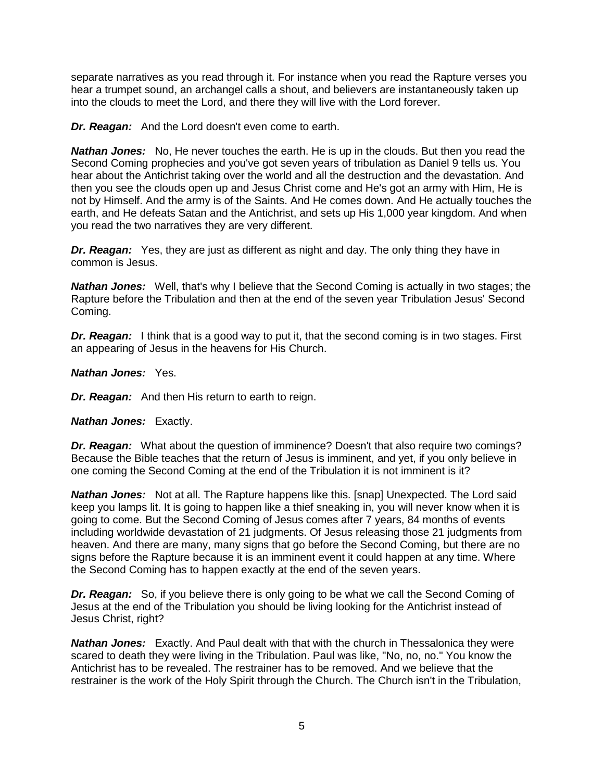separate narratives as you read through it. For instance when you read the Rapture verses you hear a trumpet sound, an archangel calls a shout, and believers are instantaneously taken up into the clouds to meet the Lord, and there they will live with the Lord forever.

*Dr. Reagan:* And the Lord doesn't even come to earth.

*Nathan Jones:* No, He never touches the earth. He is up in the clouds. But then you read the Second Coming prophecies and you've got seven years of tribulation as Daniel 9 tells us. You hear about the Antichrist taking over the world and all the destruction and the devastation. And then you see the clouds open up and Jesus Christ come and He's got an army with Him, He is not by Himself. And the army is of the Saints. And He comes down. And He actually touches the earth, and He defeats Satan and the Antichrist, and sets up His 1,000 year kingdom. And when you read the two narratives they are very different.

**Dr. Reagan:** Yes, they are just as different as night and day. The only thing they have in common is Jesus.

*Nathan Jones:* Well, that's why I believe that the Second Coming is actually in two stages; the Rapture before the Tribulation and then at the end of the seven year Tribulation Jesus' Second Coming.

**Dr. Reagan:** I think that is a good way to put it, that the second coming is in two stages. First an appearing of Jesus in the heavens for His Church.

*Nathan Jones:* Yes.

*Dr. Reagan:* And then His return to earth to reign.

*Nathan Jones:* Exactly.

*Dr. Reagan:* What about the question of imminence? Doesn't that also require two comings? Because the Bible teaches that the return of Jesus is imminent, and yet, if you only believe in one coming the Second Coming at the end of the Tribulation it is not imminent is it?

*Nathan Jones:* Not at all. The Rapture happens like this. [snap] Unexpected. The Lord said keep you lamps lit. It is going to happen like a thief sneaking in, you will never know when it is going to come. But the Second Coming of Jesus comes after 7 years, 84 months of events including worldwide devastation of 21 judgments. Of Jesus releasing those 21 judgments from heaven. And there are many, many signs that go before the Second Coming, but there are no signs before the Rapture because it is an imminent event it could happen at any time. Where the Second Coming has to happen exactly at the end of the seven years.

*Dr. Reagan:* So, if you believe there is only going to be what we call the Second Coming of Jesus at the end of the Tribulation you should be living looking for the Antichrist instead of Jesus Christ, right?

*Nathan Jones:* Exactly. And Paul dealt with that with the church in Thessalonica they were scared to death they were living in the Tribulation. Paul was like, "No, no, no." You know the Antichrist has to be revealed. The restrainer has to be removed. And we believe that the restrainer is the work of the Holy Spirit through the Church. The Church isn't in the Tribulation,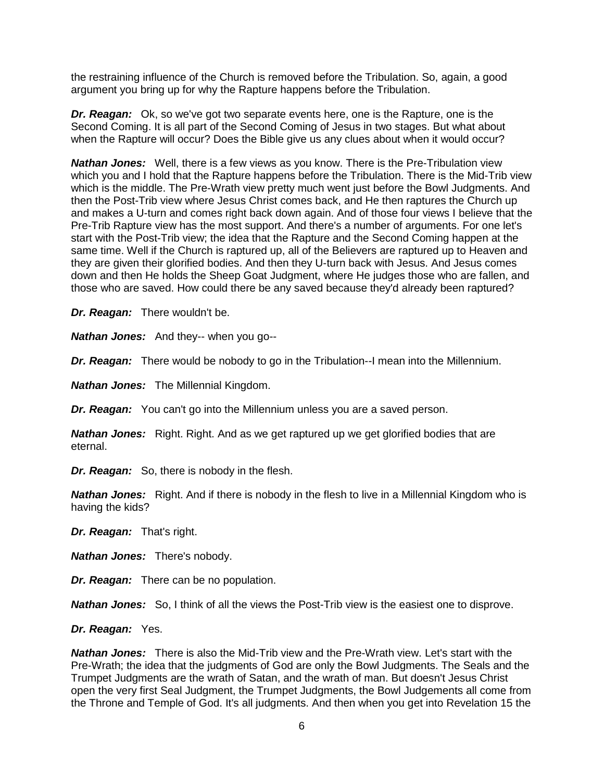the restraining influence of the Church is removed before the Tribulation. So, again, a good argument you bring up for why the Rapture happens before the Tribulation.

*Dr. Reagan:* Ok, so we've got two separate events here, one is the Rapture, one is the Second Coming. It is all part of the Second Coming of Jesus in two stages. But what about when the Rapture will occur? Does the Bible give us any clues about when it would occur?

*Nathan Jones:* Well, there is a few views as you know. There is the Pre-Tribulation view which you and I hold that the Rapture happens before the Tribulation. There is the Mid-Trib view which is the middle. The Pre-Wrath view pretty much went just before the Bowl Judgments. And then the Post-Trib view where Jesus Christ comes back, and He then raptures the Church up and makes a U-turn and comes right back down again. And of those four views I believe that the Pre-Trib Rapture view has the most support. And there's a number of arguments. For one let's start with the Post-Trib view; the idea that the Rapture and the Second Coming happen at the same time. Well if the Church is raptured up, all of the Believers are raptured up to Heaven and they are given their glorified bodies. And then they U-turn back with Jesus. And Jesus comes down and then He holds the Sheep Goat Judgment, where He judges those who are fallen, and those who are saved. How could there be any saved because they'd already been raptured?

*Dr. Reagan:* There wouldn't be.

*Nathan Jones:* And they-- when you go--

*Dr. Reagan:* There would be nobody to go in the Tribulation--I mean into the Millennium.

*Nathan Jones:* The Millennial Kingdom.

*Dr. Reagan:* You can't go into the Millennium unless you are a saved person.

*Nathan Jones:* Right. Right. And as we get raptured up we get glorified bodies that are eternal.

*Dr. Reagan:* So, there is nobody in the flesh.

*Nathan Jones:* Right. And if there is nobody in the flesh to live in a Millennial Kingdom who is having the kids?

*Dr. Reagan:* That's right.

*Nathan Jones:* There's nobody.

*Dr. Reagan:* There can be no population.

*Nathan Jones:* So, I think of all the views the Post-Trib view is the easiest one to disprove.

#### *Dr. Reagan:* Yes.

*Nathan Jones:* There is also the Mid-Trib view and the Pre-Wrath view. Let's start with the Pre-Wrath; the idea that the judgments of God are only the Bowl Judgments. The Seals and the Trumpet Judgments are the wrath of Satan, and the wrath of man. But doesn't Jesus Christ open the very first Seal Judgment, the Trumpet Judgments, the Bowl Judgements all come from the Throne and Temple of God. It's all judgments. And then when you get into Revelation 15 the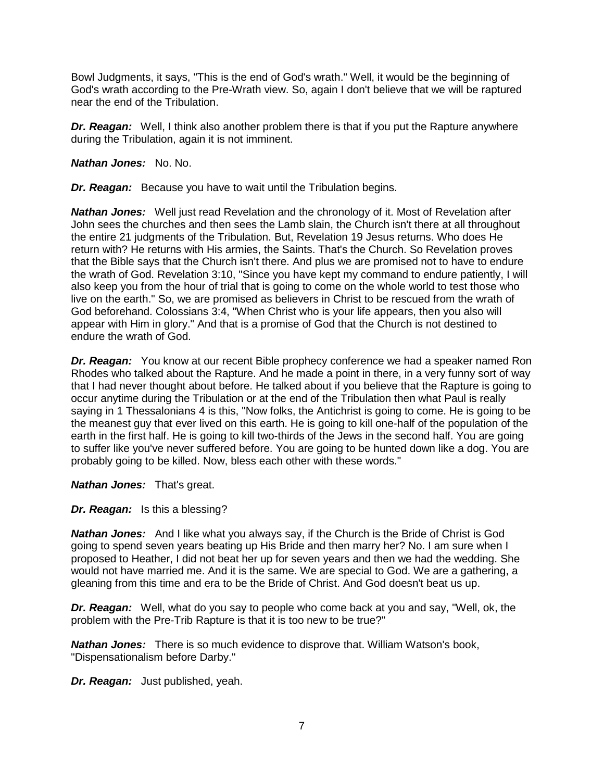Bowl Judgments, it says, "This is the end of God's wrath." Well, it would be the beginning of God's wrath according to the Pre-Wrath view. So, again I don't believe that we will be raptured near the end of the Tribulation.

*Dr. Reagan:* Well, I think also another problem there is that if you put the Rapture anywhere during the Tribulation, again it is not imminent.

*Nathan Jones:* No. No.

*Dr. Reagan:* Because you have to wait until the Tribulation begins.

*Nathan Jones:* Well just read Revelation and the chronology of it. Most of Revelation after John sees the churches and then sees the Lamb slain, the Church isn't there at all throughout the entire 21 judgments of the Tribulation. But, Revelation 19 Jesus returns. Who does He return with? He returns with His armies, the Saints. That's the Church. So Revelation proves that the Bible says that the Church isn't there. And plus we are promised not to have to endure the wrath of God. Revelation 3:10, "Since you have kept my command to endure patiently, I will also keep you from the hour of trial that is going to come on the whole world to test those who live on the earth." So, we are promised as believers in Christ to be rescued from the wrath of God beforehand. Colossians 3:4, "When Christ who is your life appears, then you also will appear with Him in glory." And that is a promise of God that the Church is not destined to endure the wrath of God.

*Dr. Reagan:* You know at our recent Bible prophecy conference we had a speaker named Ron Rhodes who talked about the Rapture. And he made a point in there, in a very funny sort of way that I had never thought about before. He talked about if you believe that the Rapture is going to occur anytime during the Tribulation or at the end of the Tribulation then what Paul is really saying in 1 Thessalonians 4 is this, "Now folks, the Antichrist is going to come. He is going to be the meanest guy that ever lived on this earth. He is going to kill one-half of the population of the earth in the first half. He is going to kill two-thirds of the Jews in the second half. You are going to suffer like you've never suffered before. You are going to be hunted down like a dog. You are probably going to be killed. Now, bless each other with these words."

*Nathan Jones:* That's great.

*Dr. Reagan:* Is this a blessing?

*Nathan Jones:* And I like what you always say, if the Church is the Bride of Christ is God going to spend seven years beating up His Bride and then marry her? No. I am sure when I proposed to Heather, I did not beat her up for seven years and then we had the wedding. She would not have married me. And it is the same. We are special to God. We are a gathering, a gleaning from this time and era to be the Bride of Christ. And God doesn't beat us up.

*Dr. Reagan:* Well, what do you say to people who come back at you and say, "Well, ok, the problem with the Pre-Trib Rapture is that it is too new to be true?"

*Nathan Jones:* There is so much evidence to disprove that. William Watson's book, "Dispensationalism before Darby."

*Dr. Reagan:* Just published, yeah.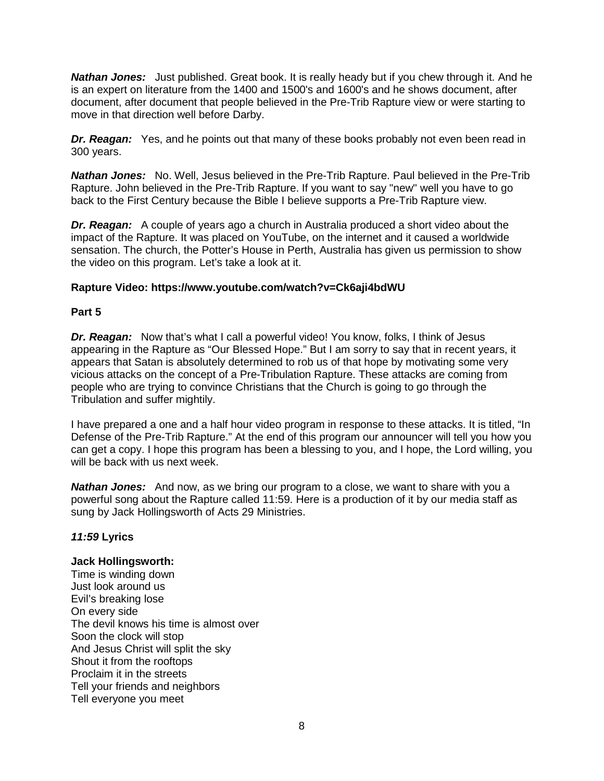*Nathan Jones:* Just published. Great book. It is really heady but if you chew through it. And he is an expert on literature from the 1400 and 1500's and 1600's and he shows document, after document, after document that people believed in the Pre-Trib Rapture view or were starting to move in that direction well before Darby.

**Dr. Reagan:** Yes, and he points out that many of these books probably not even been read in 300 years.

*Nathan Jones:* No. Well, Jesus believed in the Pre-Trib Rapture. Paul believed in the Pre-Trib Rapture. John believed in the Pre-Trib Rapture. If you want to say "new" well you have to go back to the First Century because the Bible I believe supports a Pre-Trib Rapture view.

*Dr. Reagan:* A couple of years ago a church in Australia produced a short video about the impact of the Rapture. It was placed on YouTube, on the internet and it caused a worldwide sensation. The church, the Potter's House in Perth, Australia has given us permission to show the video on this program. Let's take a look at it.

#### **Rapture Video: https://www.youtube.com/watch?v=Ck6aji4bdWU**

#### **Part 5**

*Dr. Reagan:* Now that's what I call a powerful video! You know, folks, I think of Jesus appearing in the Rapture as "Our Blessed Hope." But I am sorry to say that in recent years, it appears that Satan is absolutely determined to rob us of that hope by motivating some very vicious attacks on the concept of a Pre-Tribulation Rapture. These attacks are coming from people who are trying to convince Christians that the Church is going to go through the Tribulation and suffer mightily.

I have prepared a one and a half hour video program in response to these attacks. It is titled, "In Defense of the Pre-Trib Rapture." At the end of this program our announcer will tell you how you can get a copy. I hope this program has been a blessing to you, and I hope, the Lord willing, you will be back with us next week.

*Nathan Jones:* And now, as we bring our program to a close, we want to share with you a powerful song about the Rapture called 11:59. Here is a production of it by our media staff as sung by Jack Hollingsworth of Acts 29 Ministries.

# *11:59* **Lyrics**

#### **Jack Hollingsworth:**

Time is winding down Just look around us Evil's breaking lose On every side The devil knows his time is almost over Soon the clock will stop And Jesus Christ will split the sky Shout it from the rooftops Proclaim it in the streets Tell your friends and neighbors Tell everyone you meet